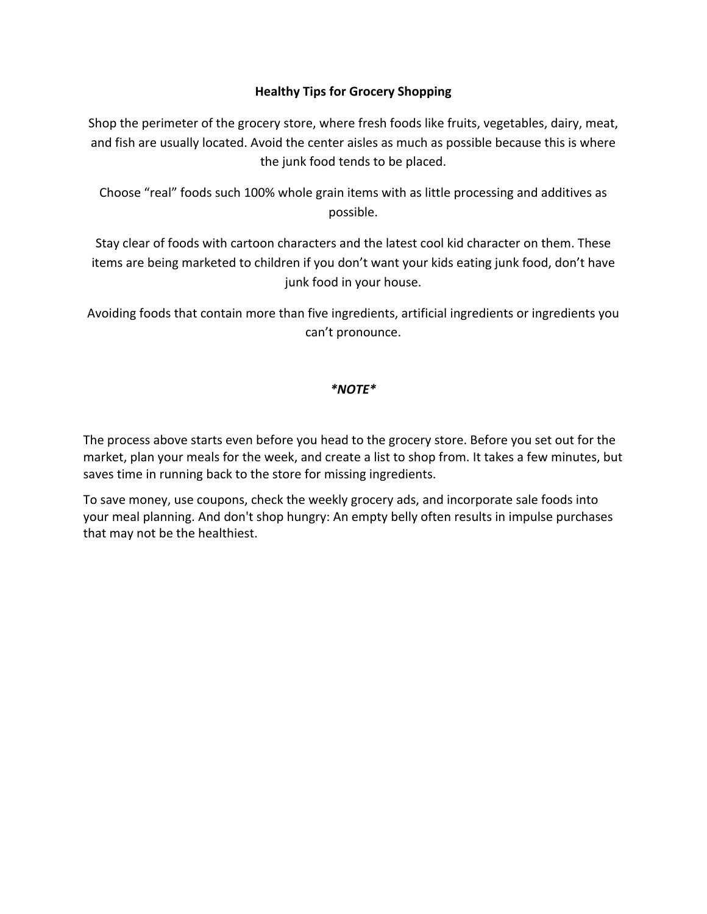## **Healthy Tips for Grocery Shopping**

Shop the perimeter of the grocery store, where fresh foods like fruits, vegetables, dairy, meat, and fish are usually located. Avoid the center aisles as much as possible because this is where the junk food tends to be placed.

Choose "real" foods such 100% whole grain items with as little processing and additives as possible.

Stay clear of foods with cartoon characters and the latest cool kid character on them. These items are being marketed to children if you don't want your kids eating junk food, don't have junk food in your house.

Avoiding foods that contain more than five ingredients, artificial ingredients or ingredients you can't pronounce.

### *\*NOTE\**

The process above starts even before you head to the grocery store. Before you set out for the market, plan your meals for the week, and create a list to shop from. It takes a few minutes, but saves time in running back to the store for missing ingredients.

To save money, use coupons, check the weekly grocery ads, and incorporate sale foods into your meal planning. And don't shop hungry: An empty belly often results in impulse purchases that may not be the healthiest.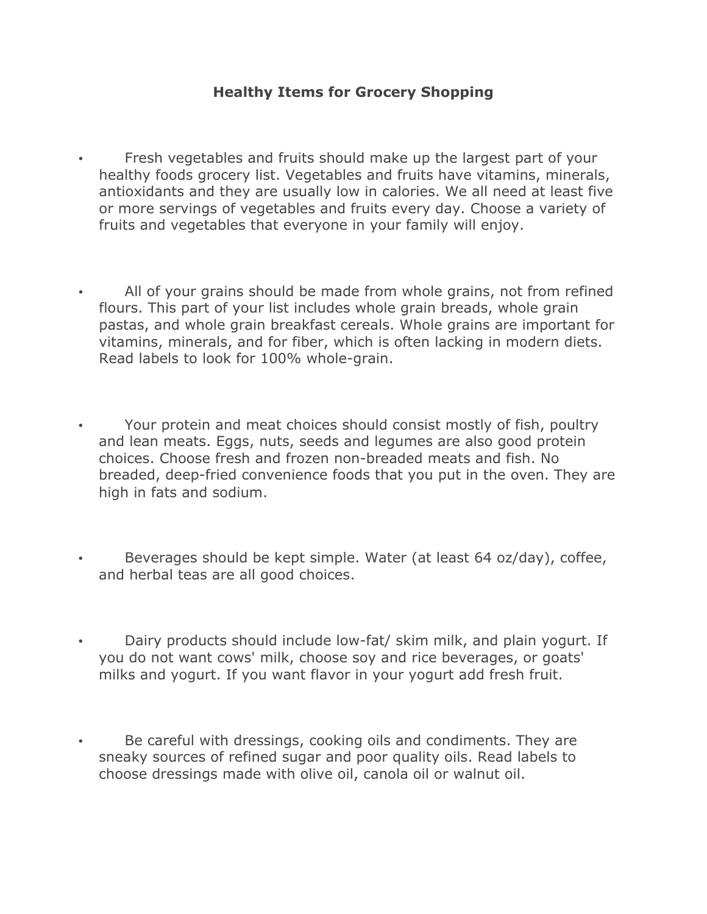# **Healthy Items for Grocery Shopping**

- Fresh vegetables and fruits should make up the largest part of your healthy foods grocery list. Vegetables and fruits have vitamins, minerals, antioxidants and they are usually low in calories. We all need at least five or more servings of vegetables and fruits every day. Choose a variety of fruits and vegetables that everyone in your family will enjoy.
- All of your grains should be made from whole grains, not from refined flours. This part of your list includes whole grain breads, whole grain pastas, and whole grain breakfast cereals. Whole grains are important for vitamins, minerals, and for fiber, which is often lacking in modern diets. Read labels to look for 100% whole-grain.
- Your protein and meat choices should consist mostly of fish, poultry and lean meats. Eggs, nuts, seeds and legumes are also good protein choices. Choose fresh and frozen non-breaded meats and fish. No breaded, deep-fried convenience foods that you put in the oven. They are high in fats and sodium.
- Beverages should be kept simple. Water (at least 64 oz/day), coffee, and herbal teas are all good choices.
- Dairy products should include low-fat/ skim milk, and plain yogurt. If you do not want cows' milk, choose soy and rice beverages, or goats' milks and yogurt. If you want flavor in your yogurt add fresh fruit.
- Be careful with dressings, cooking oils and condiments. They are sneaky sources of refined sugar and poor quality oils. Read labels to choose dressings made with olive oil, canola oil or walnut oil.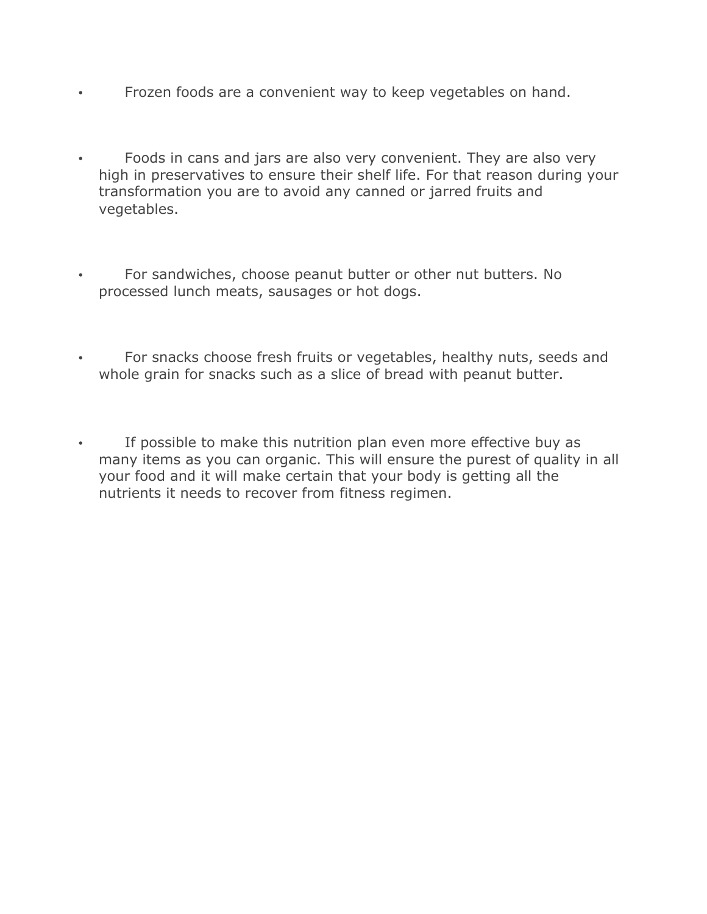- Frozen foods are a convenient way to keep vegetables on hand.
- Foods in cans and jars are also very convenient. They are also very high in preservatives to ensure their shelf life. For that reason during your transformation you are to avoid any canned or jarred fruits and vegetables.
- For sandwiches, choose peanut butter or other nut butters. No processed lunch meats, sausages or hot dogs.
- For snacks choose fresh fruits or vegetables, healthy nuts, seeds and whole grain for snacks such as a slice of bread with peanut butter.
- If possible to make this nutrition plan even more effective buy as many items as you can organic. This will ensure the purest of quality in all your food and it will make certain that your body is getting all the nutrients it needs to recover from fitness regimen.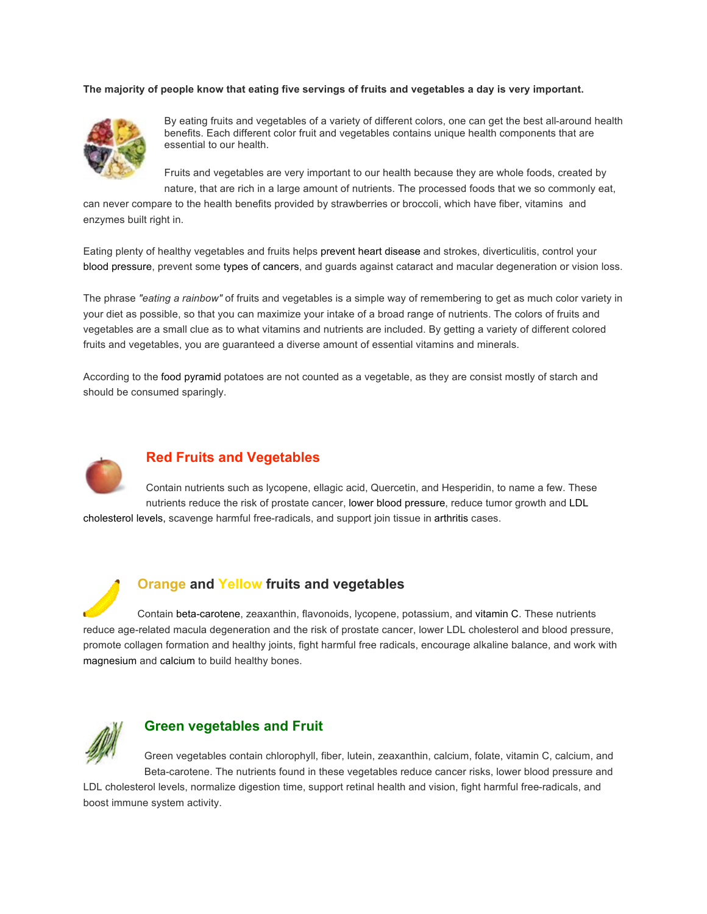#### **The majority of people know that eating five servings of fruits and vegetables a day is very important.**



By eating fruits and vegetables of a variety of different colors, one can get the best all-around health benefits. Each different color fruit and vegetables contains unique health components that are essential to our health.

Fruits and vegetables are very important to our health because they are whole foods, created by nature, that are rich in a large amount of nutrients. The processed foods that we so commonly eat,

can never compare to the health benefits provided by strawberries or broccoli, which have fiber, vitamins and enzymes built right in.

Eating plenty of healthy vegetables and fruits helps prevent heart disease and strokes, diverticulitis, control your blood pressure, prevent some types of cancers, and guards against cataract and macular degeneration or vision loss.

The phrase *"eating a rainbow"* of fruits and vegetables is a simple way of remembering to get as much color variety in your diet as possible, so that you can maximize your intake of a broad range of nutrients. The colors of fruits and vegetables are a small clue as to what vitamins and nutrients are included. By getting a variety of different colored fruits and vegetables, you are guaranteed a diverse amount of essential vitamins and minerals.

According to the food pyramid potatoes are not counted as a vegetable, as they are consist mostly of starch and should be consumed sparingly.



#### **Red Fruits and Vegetables**

Contain nutrients such as lycopene, ellagic acid, Quercetin, and Hesperidin, to name a few. These nutrients reduce the risk of prostate cancer, lower blood pressure, reduce tumor growth and LDL cholesterol levels, scavenge harmful free-radicals, and support join tissue in arthritis cases.

**Orange and Yellow fruits and vegetables**

Contain beta-carotene, zeaxanthin, flavonoids, lycopene, potassium, and vitamin C. These nutrients reduce age-related macula degeneration and the risk of prostate cancer, lower LDL cholesterol and blood pressure, promote collagen formation and healthy joints, fight harmful free radicals, encourage alkaline balance, and work with magnesium and calcium to build healthy bones.



#### **Green vegetables and Fruit**

Green vegetables contain chlorophyll, fiber, lutein, zeaxanthin, calcium, folate, vitamin C, calcium, and Beta-carotene. The nutrients found in these vegetables reduce cancer risks, lower blood pressure and

LDL cholesterol levels, normalize digestion time, support retinal health and vision, fight harmful free-radicals, and boost immune system activity.